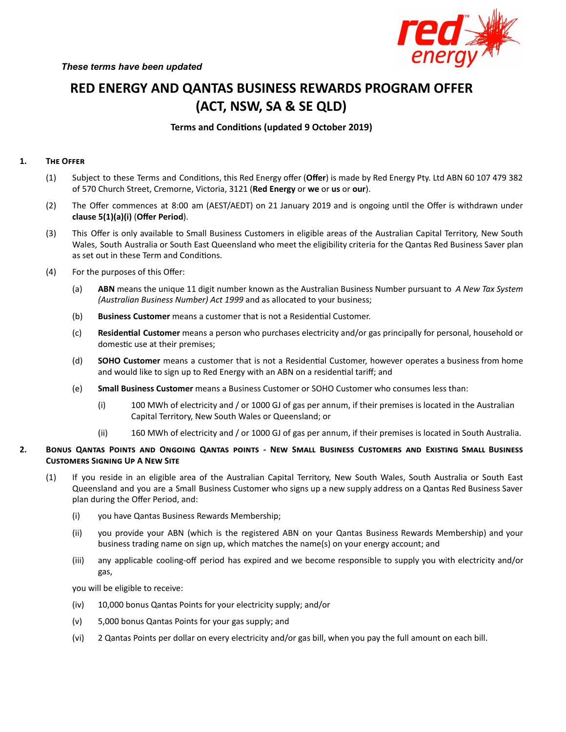

# **RED ENERGY AND QANTAS BUSINESS REWARDS PROGRAM OFFER (ACT, NSW, SA & SE QLD)**

# **Terms** and Conditions (updated 9 October 2019)

## 1. **THE OFFER**

- (1) Subject to these Terms and Conditions, this Red Energy offer (Offer) is made by Red Energy Pty. Ltd ABN 60 107 479 382 of 570 Church Street, Cremorne, Victoria, 3121 (**Red Energy** or **we** or **us** or **our**).
- (2) The Offer commences at 8:00 am (AEST/AEDT) on 21 January 2019 and is ongoing until the Offer is withdrawn under **clause 5(1)(a)(i)** (**Offer Period**).
- (3) This Offer is only available to Small Business Customers in eligible areas of the Australian Capital Territory, New South Wales, South Australia or South East Queensland who meet the eligibility criteria for the Qantas Red Business Saver plan as set out in these Term and Conditions.
- (4) For the purposes of this Offer:
	- (a) **ABN** means the unique 11 digit number known as the Australian Business Number pursuant to *A New Tax System (Australian Business Number) Act 1999* and as allocated to your business;
	- (b) **Business Customer** means a customer that is not a Residential Customer.
	- (c) **Residenal Customer** means a person who purchases electricity and/or gas principally for personal, household or domestic use at their premises;
	- (d) **SOHO Customer** means a customer that is not a Residential Customer, however operates a business from home and would like to sign up to Red Energy with an ABN on a residential tariff; and
	- (e) **Small Business Customer** means a Business Customer or SOHO Customer who consumes less than:
		- (i) 100 MWh of electricity and / or 1000 GJ of gas per annum, if their premises is located in the Australian Capital Territory, New South Wales or Queensland; or
		- (ii) 160 MWh of electricity and / or 1000 GJ of gas per annum, if their premises is located in South Australia.
- 2. BONUS QANTAS POINTS AND ONGOING QANTAS POINTS NEW SMALL BUSINESS CUSTOMERS AND EXISTING SMALL BUSINESS **CUSTOMERS SIGNING UP A NEW SITE** 
	- (1) If you reside in an eligible area of the Australian Capital Territory, New South Wales, South Australia or South East Queensland and you are a Small Business Customer who signs up a new supply address on a Qantas Red Business Saver plan during the Offer Period, and:
		- (i) you have Qantas Business Rewards Membership;
		- (ii) you provide your ABN (which is the registered ABN on your Qantas Business Rewards Membership) and your business trading name on sign up, which matches the name(s) on your energy account; and
		- (iii) any applicable cooling-off period has expired and we become responsible to supply you with electricity and/or gas,

you will be eligible to receive:

- (iv) 10,000 bonus Qantas Points for your electricity supply; and/or
- (v) 5,000 bonus Qantas Points for your gas supply; and
- (vi) 2 Qantas Points per dollar on every electricity and/or gas bill, when you pay the full amount on each bill.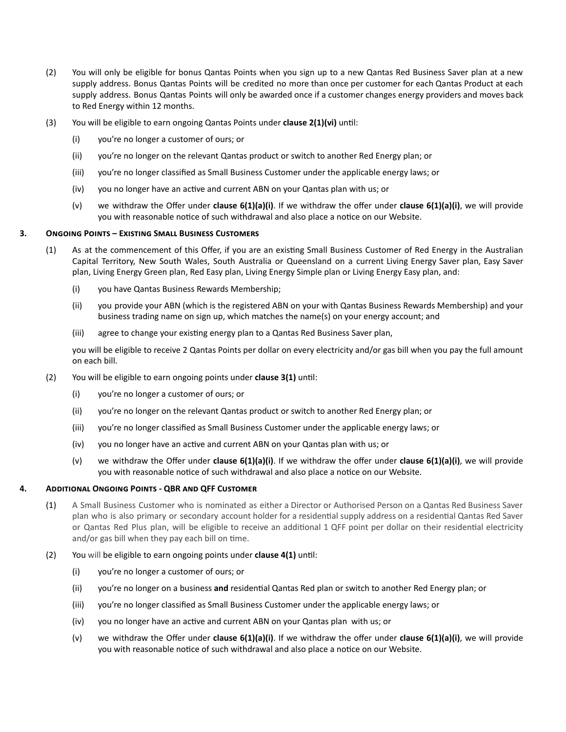- (2) You will only be eligible for bonus Qantas Points when you sign up to a new Qantas Red Business Saver plan at a new supply address. Bonus Qantas Points will be credited no more than once per customer for each Qantas Product at each supply address. Bonus Qantas Points will only be awarded once if a customer changes energy providers and moves back to Red Energy within 12 months.
- (3) You will be eligible to earn ongoing Qantas Points under **clause 2(1)(vi)** until:
	- (i) you're no longer a customer of ours; or
	- (ii) you're no longer on the relevant Qantas product or switch to another Red Energy plan; or
	- (iii) you're no longer classified as Small Business Customer under the applicable energy laws; or
	- $(iv)$  you no longer have an active and current ABN on your Qantas plan with us; or
	- (v) we withdraw the Offer under **clause 6(1)(a)(i)**. If we withdraw the offer under **clause 6(1)(a)(i)**, we will provide you with reasonable notice of such withdrawal and also place a notice on our Website.

#### **3. ONGOING POINTS - EXISTING SMALL BUSINESS CUSTOMERS**

- (1) As at the commencement of this Offer, if you are an existing Small Business Customer of Red Energy in the Australian Capital Territory, New South Wales, South Australia or Queensland on a current Living Energy Saver plan, Easy Saver plan, Living Energy Green plan, Red Easy plan, Living Energy Simple plan or Living Energy Easy plan, and:
	- (i) you have Qantas Business Rewards Membership;
	- (ii) you provide your ABN (which is the registered ABN on your with Qantas Business Rewards Membership) and your business trading name on sign up, which matches the name(s) on your energy account; and
	- (iii) agree to change your existing energy plan to a Qantas Red Business Saver plan,

you will be eligible to receive 2 Qantas Points per dollar on every electricity and/or gas bill when you pay the full amount on each bill.

- (2) You will be eligible to earn ongoing points under **clause 3(1)** until:
	- (i) you're no longer a customer of ours; or
	- (ii) you're no longer on the relevant Qantas product or switch to another Red Energy plan; or
	- (iii) you're no longer classified as Small Business Customer under the applicable energy laws; or
	- $(iv)$  you no longer have an active and current ABN on your Qantas plan with us; or
	- (v) we withdraw the Offer under **clause 6(1)(a)(i)**. If we withdraw the offer under **clause 6(1)(a)(i)**, we will provide you with reasonable notice of such withdrawal and also place a notice on our Website.

#### **4.** ADDITIONAL ONGOING POINTS - QBR AND QFF CUSTOMER

- (1) A Small Business Customer who is nominated as either a Director or Authorised Person on a Qantas Red Business Saver plan who is also primary or secondary account holder for a residential supply address on a residential Qantas Red Saver or Qantas Red Plus plan, will be eligible to receive an additional 1 QFF point per dollar on their residential electricity and/or gas bill when they pay each bill on time.
- (2) You will be eligible to earn ongoing points under **clause 4(1)** until:
	- (i) you're no longer a customer of ours; or
	- (ii) you're no longer on a business **and** residential Qantas Red plan or switch to another Red Energy plan; or
	- (iii) you're no longer classified as Small Business Customer under the applicable energy laws; or
	- $(iv)$  you no longer have an active and current ABN on your Qantas plan with us; or
	- (v) we withdraw the Offer under **clause 6(1)(a)(i)**. If we withdraw the offer under **clause 6(1)(a)(i)**, we will provide you with reasonable notice of such withdrawal and also place a notice on our Website.